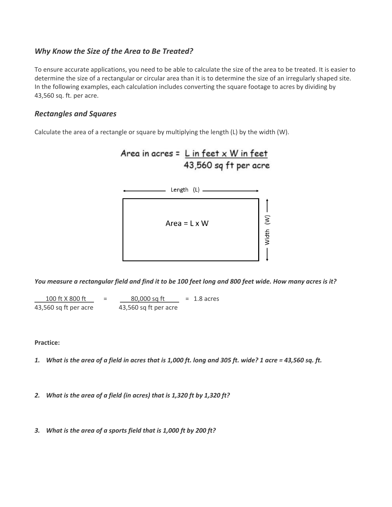# *Why Know the Size of the Area to Be Treated?*

To ensure accurate applications, you need to be able to calculate the size of the area to be treated. It is easier to determine the size of a rectangular or circular area than it is to determine the size of an irregularly shaped site. In the following examples, each calculation includes converting the square footage to acres by dividing by 43,560 sq. ft. per acre.

# *Rectangles and Squares*

Calculate the area of a rectangle or square by multiplying the length (L) by the width (W).



*You measure a rectangular field and find it to be 100 feet long and 800 feet wide. How many acres is it?*

 $100$  ft X 800 ft =  $80,000$  sq ft = 1.8 acres 43,560 sq ft per acre 43,560 sq ft per acre

**Practice:**

- *1. What is the area of a field in acres that is 1,000 ft. long and 305 ft. wide? 1 acre = 43,560 sq. ft.*
- *2. What is the area of a field (in acres) that is 1,320 ft by 1,320 ft?*
- *3. What is the area of a sports field that is 1,000 ft by 200 ft?*